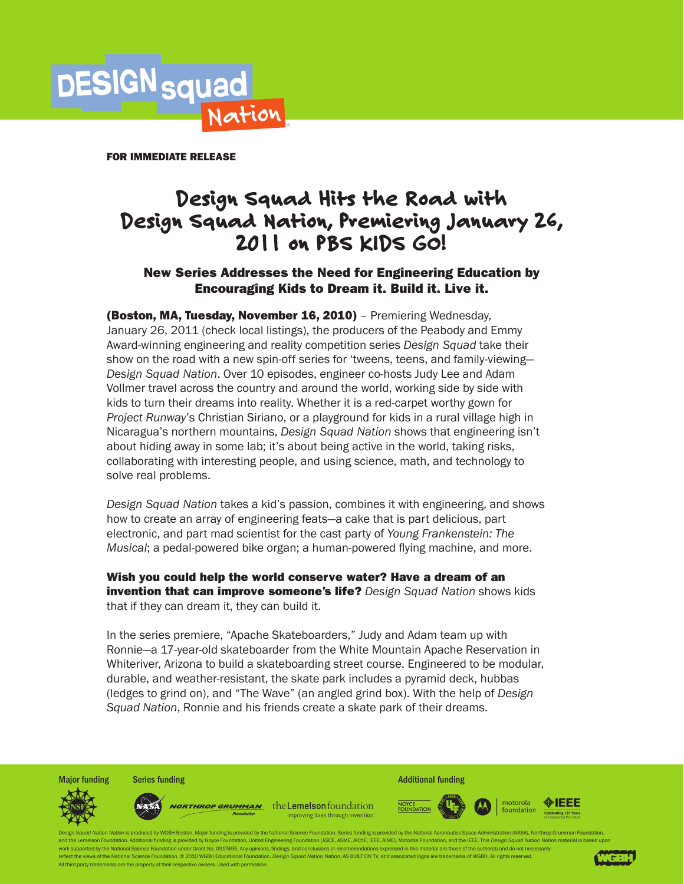

FOR IMMEDIATE RELEASE

# Design Squad Hits the Road with Design Squad Nation, Premiering January 26, 2011 on PBS KIDS GO!

# New Series Addresses the Need for Engineering Education by Encouraging Kids to Dream it. Build it. Live it.

(Boston, MA, Tuesday, November 16, 2010) - Premiering Wednesday, January 26, 2011 (check local listings), the producers of the Peabody and Emmy Award-winning engineering and reality competition series *Design Squad* take their show on the road with a new spin-off series for 'tweens, teens, and family-viewing— *Design Squad Nation*. Over 10 episodes, engineer co-hosts Judy Lee and Adam Vollmer travel across the country and around the world, working side by side with kids to turn their dreams into reality. Whether it is a red-carpet worthy gown for *Project Runway*'s Christian Siriano, or a playground for kids in a rural village high in Nicaragua's northern mountains, *Design Squad Nation* shows that engineering isn't about hiding away in some lab; it's about being active in the world, taking risks, collaborating with interesting people, and using science, math, and technology to solve real problems.

*Design Squad Nation* takes a kid's passion, combines it with engineering, and shows how to create an array of engineering feats—a cake that is part delicious, part electronic, and part mad scientist for the cast party of *Young Frankenstein: The Musical*; a pedal-powered bike organ; a human-powered flying machine, and more.

Wish you could help the world conserve water? Have a dream of an invention that can improve someone's life? *Design Squad Nation* shows kids that if they can dream it, they can build it.

In the series premiere, "Apache Skateboarders," Judy and Adam team up with Ronnie—a 17-year-old skateboarder from the White Mountain Apache Reservation in Whiteriver, Arizona to build a skateboarding street course. Engineered to be modular, durable, and weather-resistant, the skate park includes a pyramid deck, hubbas (ledges to grind on), and "The Wave" (an angled grind box). With the help of *Design Squad Nation*, Ronnie and his friends create a skate park of their dreams.

Major funding Series funding **Series funding** Additional funding Additional funding motorola **NORTHROP GRUMMAN** the Lemelson foundation NOYCE<br>FOUNDATION foundation improving lives through invention

on Nation is produced by WGBH Boston. Major funding is provided by the National Science Foundation. Series funding is provided by the National Aeronautics Space Administration (NASA). Northrop Grumman Foundation and the Lemelson Foundation. Additional funding is provided by Noyce Foundation, United Engineering Foundation (ASCE, ASME, ACME, IEEE, AIME), Motorola Foundation, and the IEEE. This Design Squad Nation Nation material is rk supported by the National Science Foundation under Grant No. 0917495. Any opinions, findings, and conclusions or rec ct the views of the National Science Foundation. © 2010 WGBH Educational Foundation. Design Squad Nation Nation, AS BUILT ON TV, and associated logos are trademarks of WGBH. All rights reserved. All third party trademarks are the property of their respective owners. Used with permissio



◈IEEE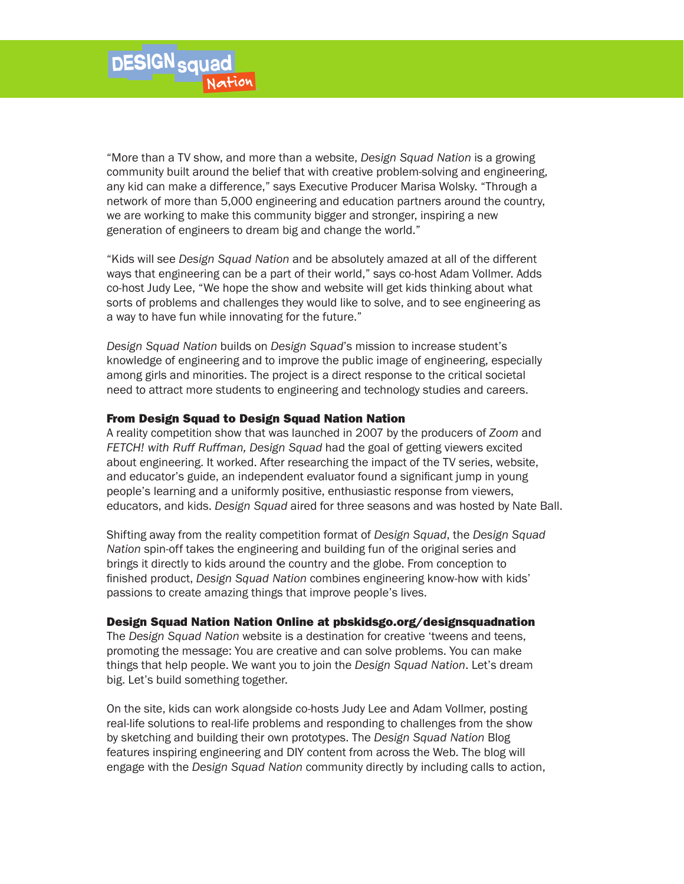"More than a TV show, and more than a website, *Design Squad Nation* is a growing community built around the belief that with creative problem-solving and engineering, any kid can make a difference," says Executive Producer Marisa Wolsky. "Through a network of more than 5,000 engineering and education partners around the country, we are working to make this community bigger and stronger, inspiring a new generation of engineers to dream big and change the world."

"Kids will see *Design Squad Nation* and be absolutely amazed at all of the different ways that engineering can be a part of their world," says co-host Adam Vollmer. Adds co-host Judy Lee, "We hope the show and website will get kids thinking about what sorts of problems and challenges they would like to solve, and to see engineering as a way to have fun while innovating for the future."

*Design Squad Nation* builds on *Design Squad*'s mission to increase student's knowledge of engineering and to improve the public image of engineering, especially among girls and minorities. The project is a direct response to the critical societal need to attract more students to engineering and technology studies and careers.

#### From Design Squad to Design Squad Nation Nation

A reality competition show that was launched in 2007 by the producers of *Zoom* and *FETCH! with Ruff Ruffman, Design Squad* had the goal of getting viewers excited about engineering. It worked. After researching the impact of the TV series, website, and educator's guide, an independent evaluator found a significant jump in young people's learning and a uniformly positive, enthusiastic response from viewers, educators, and kids. *Design Squad* aired for three seasons and was hosted by Nate Ball.

Shifting away from the reality competition format of *Design Squad*, the *Design Squad Nation* spin-off takes the engineering and building fun of the original series and brings it directly to kids around the country and the globe. From conception to finished product, *Design Squad Nation* combines engineering know-how with kids' passions to create amazing things that improve people's lives.

## Design Squad Nation Nation Online at pbskidsgo.org/designsquadnation

The *Design Squad Nation* website is a destination for creative 'tweens and teens, promoting the message: You are creative and can solve problems. You can make things that help people. We want you to join the *Design Squad Nation*. Let's dream big. Let's build something together.

On the site, kids can work alongside co-hosts Judy Lee and Adam Vollmer, posting real-life solutions to real-life problems and responding to challenges from the show by sketching and building their own prototypes. The *Design Squad Nation* Blog features inspiring engineering and DIY content from across the Web. The blog will engage with the *Design Squad Nation* community directly by including calls to action,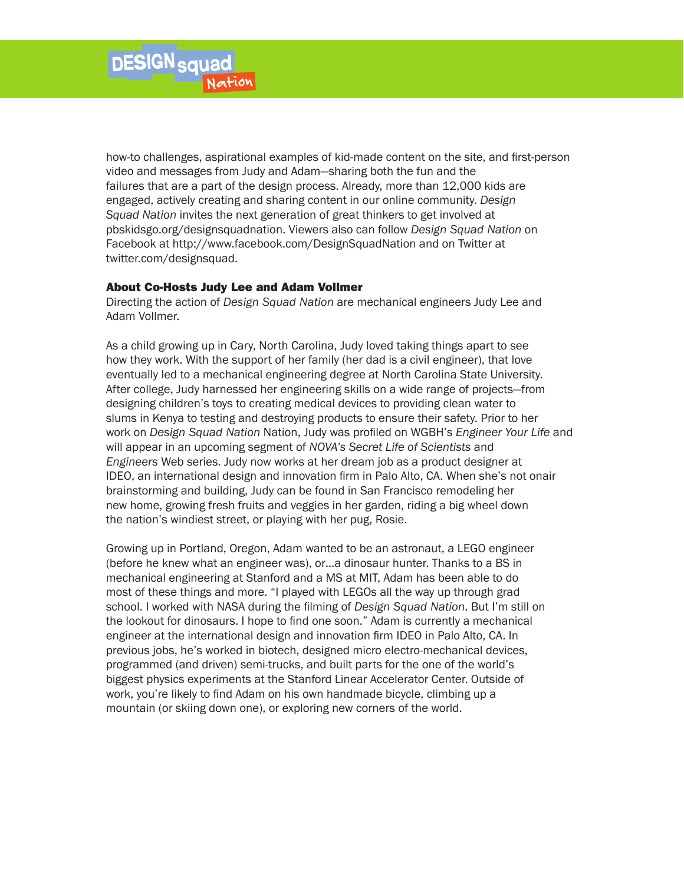how-to challenges, aspirational examples of kid-made content on the site, and first-person video and messages from Judy and Adam—sharing both the fun and the failures that are a part of the design process. Already, more than 12,000 kids are engaged, actively creating and sharing content in our online community. *Design Squad Nation* invites the next generation of great thinkers to get involved at pbskidsgo.org/designsquadnation. Viewers also can follow *Design Squad Nation* on Facebook at http://www.facebook.com/DesignSquadNation and on Twitter at twitter.com/designsquad.

## About Co-Hosts Judy Lee and Adam Vollmer

Directing the action of *Design Squad Nation* are mechanical engineers Judy Lee and Adam Vollmer.

As a child growing up in Cary, North Carolina, Judy loved taking things apart to see how they work. With the support of her family (her dad is a civil engineer), that love eventually led to a mechanical engineering degree at North Carolina State University. After college, Judy harnessed her engineering skills on a wide range of projects—from designing children's toys to creating medical devices to providing clean water to slums in Kenya to testing and destroying products to ensure their safety. Prior to her work on *Design Squad Nation* Nation, Judy was profiled on WGBH's *Engineer Your Life* and will appear in an upcoming segment of *NOVA's Secret Life of Scientists* and *Engineers* Web series. Judy now works at her dream job as a product designer at IDEO, an international design and innovation firm in Palo Alto, CA. When she's not onair brainstorming and building, Judy can be found in San Francisco remodeling her new home, growing fresh fruits and veggies in her garden, riding a big wheel down the nation's windiest street, or playing with her pug, Rosie.

Growing up in Portland, Oregon, Adam wanted to be an astronaut, a LEGO engineer (before he knew what an engineer was), or…a dinosaur hunter. Thanks to a BS in mechanical engineering at Stanford and a MS at MIT, Adam has been able to do most of these things and more. "I played with LEGOs all the way up through grad school. I worked with NASA during the filming of *Design Squad Nation*. But I'm still on the lookout for dinosaurs. I hope to find one soon." Adam is currently a mechanical engineer at the international design and innovation firm IDEO in Palo Alto, CA. In previous jobs, he's worked in biotech, designed micro electro-mechanical devices, programmed (and driven) semi-trucks, and built parts for the one of the world's biggest physics experiments at the Stanford Linear Accelerator Center. Outside of work, you're likely to find Adam on his own handmade bicycle, climbing up a mountain (or skiing down one), or exploring new corners of the world.